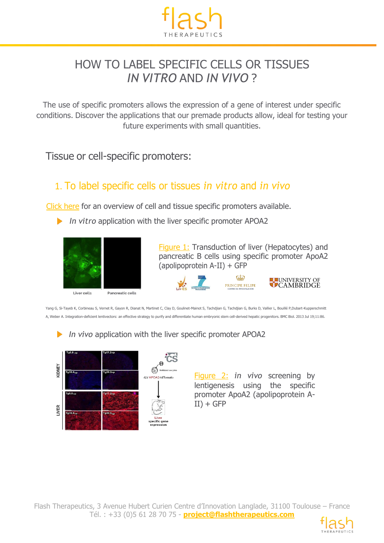

## HOW TO LABEL SPECIFIC CELLS OR TISSUES *IN VITRO* AND *IN VIVO* ?

The use of specific promoters allows the expression of a gene of interest under specific conditions. Discover the applications that our premade products allow, ideal for testing your future experiments with small quantities.

Tissue or cell-specific promoters:

## 1. To label specific cells or tissues *in vitro* and *in vivo*

[Click](https://www.vectalys.com/files/pmedia/public/r404_9_overview_tissue_and_cell_specific_promoters.pdf) here for an overview of cell and tissue specific promoters available.

*In vitro* application with the liver specific promoter APOA2



Pancreatic cells



Figure 1: Transduction of liver (Hepatocytes) and pancreatic B cells using specific promoter ApoA2



Yang G, Si-Tayeb K, Corbineau S, Vernet R, Gayon R, Dianat N, Martinet C, Clay D, Goulinet-Mainot S, Tachdjian G, Tachdjian G, Burks D, Vallier L, Bouillé P,Dubart-Kupperschmitt A, Weber A. Integration-deficient lentivectors: an effective strategy to purify and differentiate human embryonic stem cell-derived hepatic progenitors. BMC Biol. 2013 Jul 19;11:86.

 $\blacktriangleright$ *In vivo* application with the liver specific promoter APOA2



Figure 2: *in vivo* screening by lentigenesis using the specific promoter ApoA2 (apolipoprotein A- $II$ ) + GFP

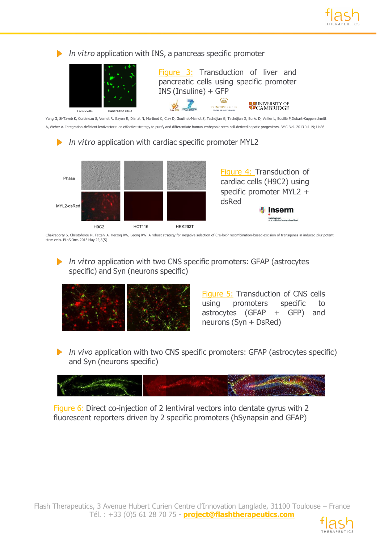



Chakraborty S, Christoforou N, Fattahi A, Herzog RW, Leong KW. A robust strategy for negative selection of Cre-loxP recombination-based excision of transgenes in induced pluripotent stem cells. PLoS One. 2013 May 22;8(5)

*In vitro* application with two CNS specific promoters: GFAP (astrocytes specific) and Syn (neurons specific)



Figure 5: Transduction of CNS cells using promoters specific to astrocytes (GFAP + GFP) and neurons (Syn + DsRed)

*In vivo* application with two CNS specific promoters: GFAP (astrocytes specific) and Syn (neurons specific)



Figure 6: Direct co-injection of 2 lentiviral vectors into dentate gyrus with 2 fluorescent reporters driven by 2 specific promoters (hSynapsin and GFAP)